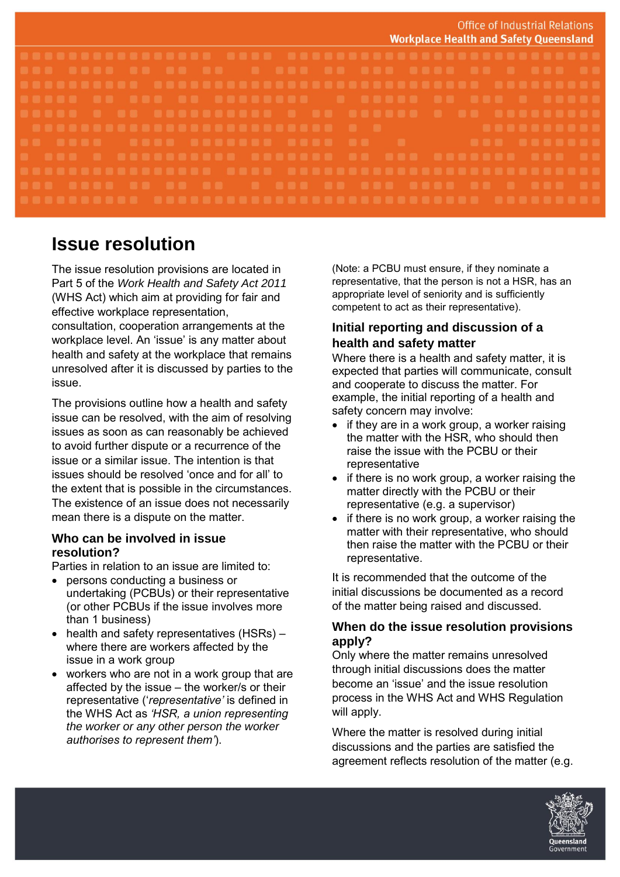|  | <b>Office of Industrial Relations</b><br><b>Workplace Health and Safety Queensland</b> |
|--|----------------------------------------------------------------------------------------|
|  |                                                                                        |
|  |                                                                                        |
|  |                                                                                        |
|  |                                                                                        |
|  |                                                                                        |
|  |                                                                                        |
|  |                                                                                        |
|  |                                                                                        |
|  |                                                                                        |
|  |                                                                                        |
|  |                                                                                        |

# **Issue resolution**

The issue resolution provisions are located in Part 5 of the *Work Health and Safety Act 2011*  (WHS Act) which aim at providing for fair and effective workplace representation,

consultation, cooperation arrangements at the workplace level. An 'issue' is any matter about health and safety at the workplace that remains unresolved after it is discussed by parties to the issue.

The provisions outline how a health and safety issue can be resolved, with the aim of resolving issues as soon as can reasonably be achieved to avoid further dispute or a recurrence of the issue or a similar issue. The intention is that issues should be resolved 'once and for all' to the extent that is possible in the circumstances. The existence of an issue does not necessarily mean there is a dispute on the matter.

#### **Who can be involved in issue resolution?**

Parties in relation to an issue are limited to:

- persons conducting a business or undertaking (PCBUs) or their representative (or other PCBUs if the issue involves more than 1 business)
- health and safety representatives (HSRs) where there are workers affected by the issue in a work group
- workers who are not in a work group that are affected by the issue – the worker/s or their representative ('*representative'* is defined in the WHS Act as *'HSR, a union representing the worker or any other person the worker authorises to represent them'*).

(Note: a PCBU must ensure, if they nominate a representative, that the person is not a HSR, has an appropriate level of seniority and is sufficiently competent to act as their representative).

## **Initial reporting and discussion of a health and safety matter**

Where there is a health and safety matter, it is expected that parties will communicate, consult and cooperate to discuss the matter. For example, the initial reporting of a health and safety concern may involve:

- if they are in a work group, a worker raising the matter with the HSR, who should then raise the issue with the PCBU or their representative
- if there is no work group, a worker raising the matter directly with the PCBU or their representative (e.g. a supervisor)
- if there is no work group, a worker raising the matter with their representative, who should then raise the matter with the PCBU or their representative.

It is recommended that the outcome of the initial discussions be documented as a record of the matter being raised and discussed.

## **When do the issue resolution provisions apply?**

Only where the matter remains unresolved through initial discussions does the matter become an 'issue' and the issue resolution process in the WHS Act and WHS Regulation will apply.

Where the matter is resolved during initial discussions and the parties are satisfied the agreement reflects resolution of the matter (e.g.

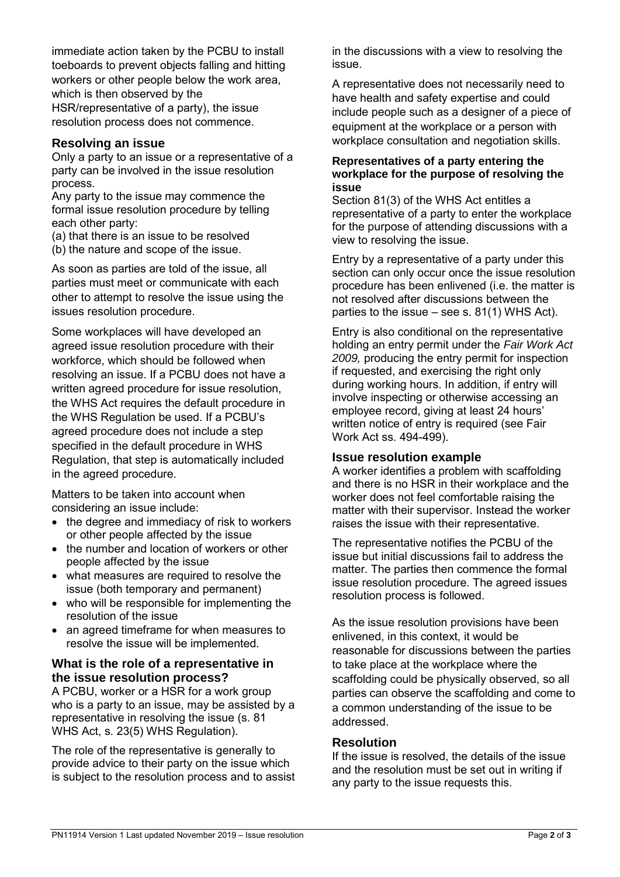immediate action taken by the PCBU to install toeboards to prevent objects falling and hitting workers or other people below the work area, which is then observed by the HSR/representative of a party), the issue resolution process does not commence.

#### **Resolving an issue**

Only a party to an issue or a representative of a party can be involved in the issue resolution process.

Any party to the issue may commence the formal issue resolution procedure by telling each other party:

(a) that there is an issue to be resolved

(b) the nature and scope of the issue.

As soon as parties are told of the issue, all parties must meet or communicate with each other to attempt to resolve the issue using the issues resolution procedure.

Some workplaces will have developed an agreed issue resolution procedure with their workforce, which should be followed when resolving an issue. If a PCBU does not have a written agreed procedure for issue resolution, the WHS Act requires the default procedure in the WHS Regulation be used. If a PCBU's agreed procedure does not include a step specified in the default procedure in WHS Regulation, that step is automatically included in the agreed procedure.

Matters to be taken into account when considering an issue include:

- the degree and immediacy of risk to workers or other people affected by the issue
- the number and location of workers or other people affected by the issue
- what measures are required to resolve the issue (both temporary and permanent)
- who will be responsible for implementing the resolution of the issue
- an agreed timeframe for when measures to resolve the issue will be implemented.

### **What is the role of a representative in the issue resolution process?**

A PCBU, worker or a HSR for a work group who is a party to an issue, may be assisted by a representative in resolving the issue (s. 81 WHS Act, s. 23(5) WHS Regulation).

The role of the representative is generally to provide advice to their party on the issue which is subject to the resolution process and to assist

in the discussions with a view to resolving the issue.

A representative does not necessarily need to have health and safety expertise and could include people such as a designer of a piece of equipment at the workplace or a person with workplace consultation and negotiation skills.

#### **Representatives of a party entering the workplace for the purpose of resolving the issue**

Section 81(3) of the WHS Act entitles a representative of a party to enter the workplace for the purpose of attending discussions with a view to resolving the issue.

Entry by a representative of a party under this section can only occur once the issue resolution procedure has been enlivened (i.e. the matter is not resolved after discussions between the parties to the issue – see s. 81(1) WHS Act).

Entry is also conditional on the representative holding an entry permit under the *Fair Work Act 2009,* producing the entry permit for inspection if requested, and exercising the right only during working hours. In addition, if entry will involve inspecting or otherwise accessing an employee record, giving at least 24 hours' written notice of entry is required (see Fair Work Act ss. 494-499).

#### **Issue resolution example**

A worker identifies a problem with scaffolding and there is no HSR in their workplace and the worker does not feel comfortable raising the matter with their supervisor. Instead the worker raises the issue with their representative.

The representative notifies the PCBU of the issue but initial discussions fail to address the matter. The parties then commence the formal issue resolution procedure. The agreed issues resolution process is followed.

As the issue resolution provisions have been enlivened, in this context, it would be reasonable for discussions between the parties to take place at the workplace where the scaffolding could be physically observed, so all parties can observe the scaffolding and come to a common understanding of the issue to be addressed.

#### **Resolution**

If the issue is resolved, the details of the issue and the resolution must be set out in writing if any party to the issue requests this.